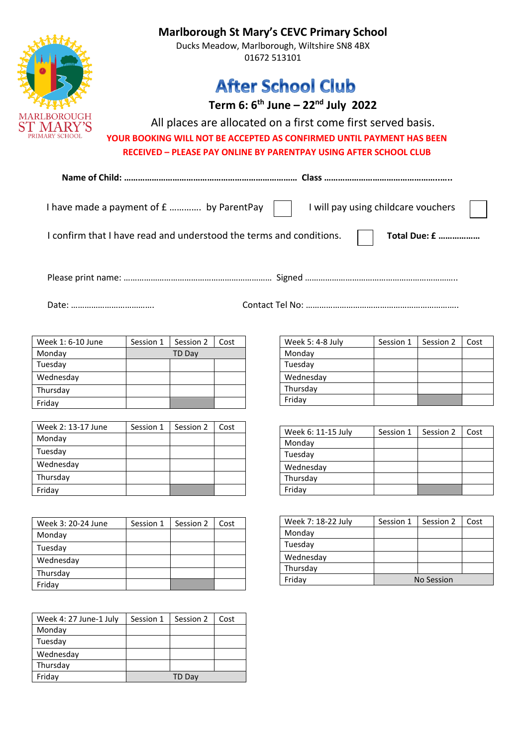|                   | <b>Marlborough St Mary's CEVC Primary School</b><br>Ducks Meadow, Marlborough, Wiltshire SN8 4BX<br>01672 513101<br><b>After School Club</b><br>Term 6: $6th$ June – 22 <sup>nd</sup> July 2022<br>All places are allocated on a first come first served basis.<br>YOUR BOOKING WILL NOT BE ACCEPTED AS CONFIRMED UNTIL PAYMENT HAS BEEN<br><b>RECEIVED - PLEASE PAY ONLINE BY PARENTPAY USING AFTER SCHOOL CLUB</b> |           |      |  |                                     |           |                      |      |
|-------------------|----------------------------------------------------------------------------------------------------------------------------------------------------------------------------------------------------------------------------------------------------------------------------------------------------------------------------------------------------------------------------------------------------------------------|-----------|------|--|-------------------------------------|-----------|----------------------|------|
|                   |                                                                                                                                                                                                                                                                                                                                                                                                                      |           |      |  |                                     |           |                      |      |
|                   | I have made a payment of £  by ParentPay                                                                                                                                                                                                                                                                                                                                                                             |           |      |  | I will pay using childcare vouchers |           |                      |      |
|                   | I confirm that I have read and understood the terms and conditions.                                                                                                                                                                                                                                                                                                                                                  |           |      |  |                                     |           | <b>Total Due: £ </b> |      |
|                   |                                                                                                                                                                                                                                                                                                                                                                                                                      |           |      |  |                                     |           |                      |      |
| Week 1: 6-10 June | Session 1                                                                                                                                                                                                                                                                                                                                                                                                            | Session 2 | Cost |  | Week 5: 4-8 July                    | Session 1 | Session 2            | Cost |
| Monday            |                                                                                                                                                                                                                                                                                                                                                                                                                      | TD Day    |      |  | Monday                              |           |                      |      |

| Monday    | TD Day |  |
|-----------|--------|--|
| Tuesday   |        |  |
| Wednesday |        |  |
| Thursday  |        |  |
| Friday    |        |  |
|           |        |  |

| Week 2: 13-17 June | Session 1 | Session 2 | Cost |
|--------------------|-----------|-----------|------|
| Monday             |           |           |      |
| Tuesday            |           |           |      |
| Wednesday          |           |           |      |
| Thursday           |           |           |      |
| Friday             |           |           |      |

| Week 3: 20-24 June | Session 1 | Session 2 | Cost |
|--------------------|-----------|-----------|------|
| Monday             |           |           |      |
| Tuesday            |           |           |      |
| Wednesday          |           |           |      |
| Thursday           |           |           |      |
| Friday             |           |           |      |

| Week 4: 27 June-1 July | Session 1 | Session 2 | Cost |
|------------------------|-----------|-----------|------|
| Monday                 |           |           |      |
| Tuesday                |           |           |      |
| Wednesday              |           |           |      |
| Thursday               |           |           |      |
| Friday                 |           | TD Day    |      |

| Week 5: 4-8 July | Session 1 | Session 2 | Cost |
|------------------|-----------|-----------|------|
| Monday           |           |           |      |
| Tuesday          |           |           |      |
| Wednesday        |           |           |      |
| Thursday         |           |           |      |
| Friday           |           |           |      |

| Week 6: 11-15 July | Session 1 | Session 2 | Cost |
|--------------------|-----------|-----------|------|
| Monday             |           |           |      |
| Tuesday            |           |           |      |
| Wednesday          |           |           |      |
| Thursday           |           |           |      |
| Friday             |           |           |      |

| Week 7: 18-22 July | Session 1         | Session 2 | Cost |
|--------------------|-------------------|-----------|------|
| Monday             |                   |           |      |
| Tuesday            |                   |           |      |
| Wednesday          |                   |           |      |
| Thursday           |                   |           |      |
| Friday             | <b>No Session</b> |           |      |